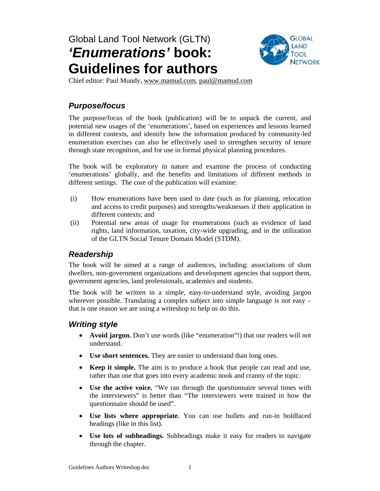# Global Land Tool Network (GLTN) *'Enumerations'* **book: Guidelines for authors**



Chief editor: Paul Mundy, www.mamud.com, paul@mamud.com

# *Purpose/focus*

The purpose/focus of the book (publication) will be to unpack the current, and potential new usages of the 'enumerations', based on experiences and lessons learned in different contexts, and identify how the information produced by community-led enumeration exercises can also be effectively used to strengthen security of tenure through state recognition, and for use in formal physical planning procedures.

The book will be exploratory in nature and examine the process of conducting 'enumerations' globally, and the benefits and limitations of different methods in different settings. The core of the publication will examine:

- (i) How enumerations have been used to date (such as for planning, relocation and access to credit purposes) and strengths/weaknesses if their application in different contexts; and
- (ii) Potential new areas of usage for enumerations (such as evidence of land rights, land information, taxation, city-wide upgrading, and in the utilization of the GLTN Social Tenure Domain Model (STDM).

### *Readership*

The book will be aimed at a range of audiences, including: associations of slum dwellers, non-government organizations and development agencies that support them, government agencies, land professionals, academics and students.

The book will be written in a simple, easy-to-understand style, avoiding jargon wherever possible. Translating a complex subject into simple language is not easy – that is one reason we are using a writeshop to help us do this.

# *Writing style*

- **Avoid jargon.** Don't use words (like "enumeration"!) that our readers will not understand.
- **Use short sentences.** They are easier to understand than long ones.
- **Keep it simple.** The aim is to produce a book that people can read and use, rather than one that goes into every academic nook and cranny of the topic.
- **Use the active voice.** "We ran through the questionnaire several times with the interviewers" is better than "The interviewers were trained in how the questionnaire should be used".
- **Use lists where appropriate.** You can use bullets and run-in boldfaced headings (like in this list).
- **Use lots of subheadings.** Subheadings make it easy for readers to navigate through the chapter.